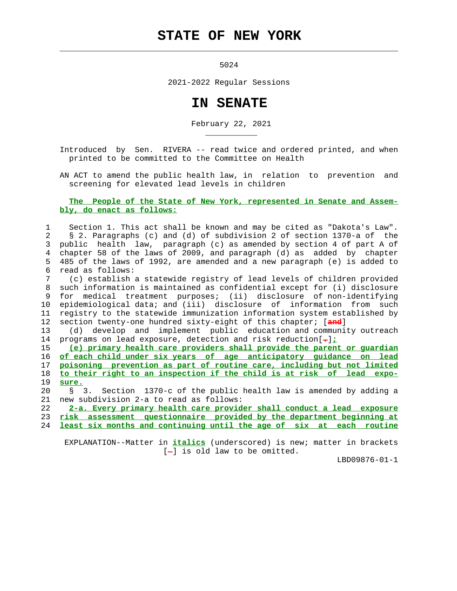## **STATE OF NEW YORK**

 $\mathcal{L}_\text{max} = \frac{1}{2} \sum_{i=1}^{n} \frac{1}{2} \sum_{i=1}^{n} \frac{1}{2} \sum_{i=1}^{n} \frac{1}{2} \sum_{i=1}^{n} \frac{1}{2} \sum_{i=1}^{n} \frac{1}{2} \sum_{i=1}^{n} \frac{1}{2} \sum_{i=1}^{n} \frac{1}{2} \sum_{i=1}^{n} \frac{1}{2} \sum_{i=1}^{n} \frac{1}{2} \sum_{i=1}^{n} \frac{1}{2} \sum_{i=1}^{n} \frac{1}{2} \sum_{i=1}^{n} \frac{1$ 

\_\_\_\_\_\_\_\_\_\_\_

5024

2021-2022 Regular Sessions

## **IN SENATE**

February 22, 2021

 Introduced by Sen. RIVERA -- read twice and ordered printed, and when printed to be committed to the Committee on Health

 AN ACT to amend the public health law, in relation to prevention and screening for elevated lead levels in children

## **The People of the State of New York, represented in Senate and Assem bly, do enact as follows:**

 1 Section 1. This act shall be known and may be cited as "Dakota's Law". 2 § 2. Paragraphs (c) and (d) of subdivision 2 of section 1370-a of the 3 public health law, paragraph (c) as amended by section 4 of part A of 4 chapter 58 of the laws of 2009, and paragraph (d) as added by chapter 5 485 of the laws of 1992, are amended and a new paragraph (e) is added to 6 read as follows:

 7 (c) establish a statewide registry of lead levels of children provided 8 such information is maintained as confidential except for (i) disclosure 9 for medical treatment purposes; (ii) disclosure of non-identifying 10 epidemiological data; and (iii) disclosure of information from such 11 registry to the statewide immunization information system established by 12 section twenty-one hundred sixty-eight of this chapter; [**and**]

 13 (d) develop and implement public education and community outreach 14 programs on lead exposure, detection and risk reduction[**.**]**;**

**(e) primary health care providers shall provide the parent or guardian of each child under six years of age anticipatory guidance on lead poisoning prevention as part of routine care, including but not limited to their right to an inspection if the child is at risk of lead expo-** 19 **sure.**

 20 § 3. Section 1370-c of the public health law is amended by adding a 21 new subdivision 2-a to read as follows:

 22 **2-a. Every primary health care provider shall conduct a lead exposure** 23 **risk assessment questionnaire provided by the department beginning at** 24 **least six months and continuing until the age of six at each routine**

 EXPLANATION--Matter in **italics** (underscored) is new; matter in brackets  $[-]$  is old law to be omitted.

LBD09876-01-1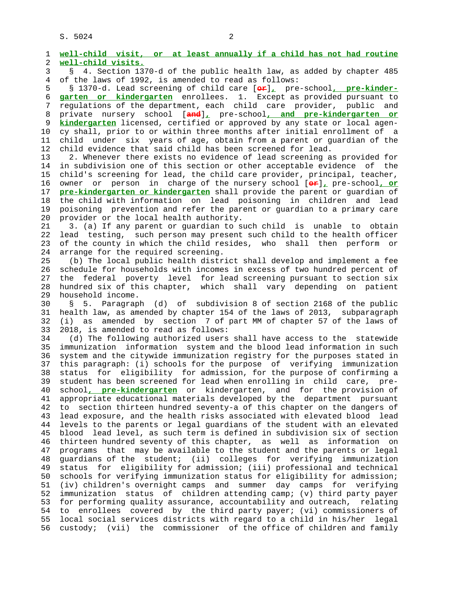S. 5024 2

 1 **well-child visit, or at least annually if a child has not had routine** 2 **well-child visits.** 3 § 4. Section 1370-d of the public health law, as added by chapter 485 4 of the laws of 1992, is amended to read as follows: 5 § 1370-d. Lead screening of child care [**or**]**,** pre-school**, pre-kinder-** 6 **garten or kindergarten** enrollees. 1. Except as provided pursuant to 7 regulations of the department, each child care provider, public and 8 private nursery school [**and**]**,** pre-school**, and pre-kindergarten or** kindergarten licensed, certified or approved by any state or local agen- 10 cy shall, prior to or within three months after initial enrollment of a 11 child under six years of age, obtain from a parent or guardian of the 12 child evidence that said child has been screened for lead. 13 2. Whenever there exists no evidence of lead screening as provided for 14 in subdivision one of this section or other acceptable evidence of the 15 child's screening for lead, the child care provider, principal, teacher, 16 owner or person in charge of the nursery school [**or**]**,** pre-school**, or** 17 **pre-kindergarten or kindergarten** shall provide the parent or guardian of 18 the child with information on lead poisoning in children and lead 19 poisoning prevention and refer the parent or guardian to a primary care 20 provider or the local health authority. 21 3. (a) If any parent or guardian to such child is unable to obtain 22 lead testing, such person may present such child to the health officer 23 of the county in which the child resides, who shall then perform or 24 arrange for the required screening. 25 (b) The local public health district shall develop and implement a fee 26 schedule for households with incomes in excess of two hundred percent of 27 the federal poverty level for lead screening pursuant to section six 28 hundred six of this chapter, which shall vary depending on patient 29 household income. 30 § 5. Paragraph (d) of subdivision 8 of section 2168 of the public 31 health law, as amended by chapter 154 of the laws of 2013, subparagraph 32 (i) as amended by section 7 of part MM of chapter 57 of the laws of 33 2018, is amended to read as follows: 34 (d) The following authorized users shall have access to the statewide 35 immunization information system and the blood lead information in such 36 system and the citywide immunization registry for the purposes stated in 37 this paragraph: (i) schools for the purpose of verifying immunization 38 status for eligibility for admission, for the purpose of confirming a 39 student has been screened for lead when enrolling in child care, pre- 40 school**, pre-kindergarten** or kindergarten, and for the provision of 41 appropriate educational materials developed by the department pursuant 42 to section thirteen hundred seventy-a of this chapter on the dangers of 43 lead exposure, and the health risks associated with elevated blood lead 44 levels to the parents or legal guardians of the student with an elevated 45 blood lead level, as such term is defined in subdivision six of section 46 thirteen hundred seventy of this chapter, as well as information on 47 programs that may be available to the student and the parents or legal 48 guardians of the student; (ii) colleges for verifying immunization 49 status for eligibility for admission; (iii) professional and technical 50 schools for verifying immunization status for eligibility for admission; 51 (iv) children's overnight camps and summer day camps for verifying 52 immunization status of children attending camp; (v) third party payer 53 for performing quality assurance, accountability and outreach, relating 54 to enrollees covered by the third party payer; (vi) commissioners of 55 local social services districts with regard to a child in his/her legal 56 custody; (vii) the commissioner of the office of children and family